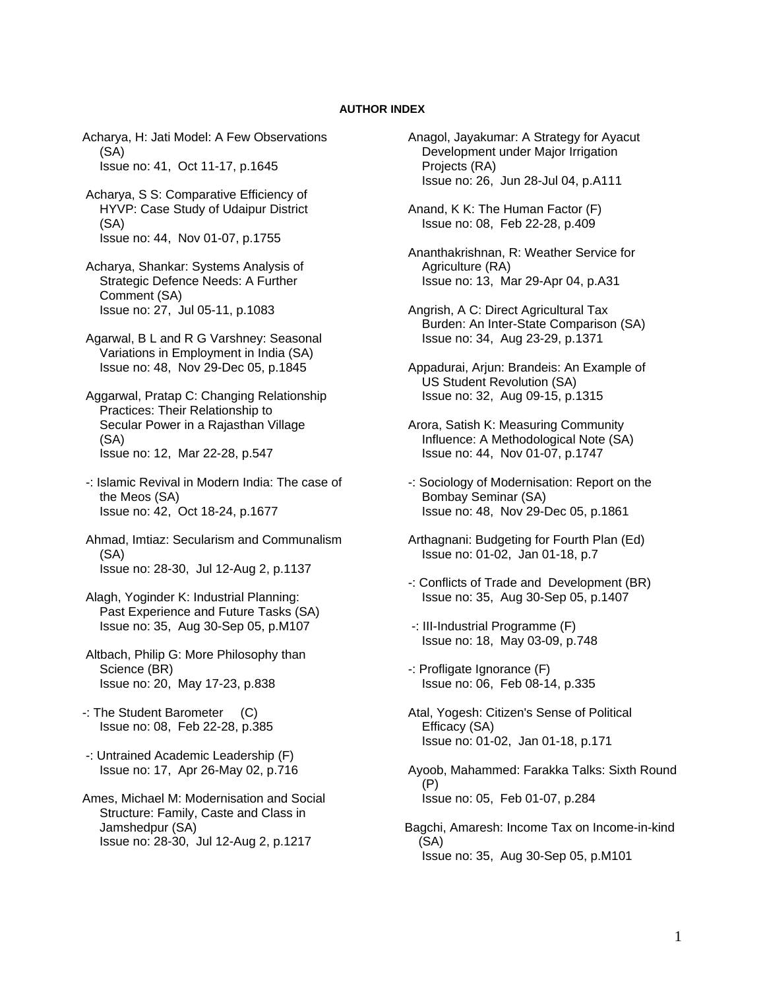## **AUTHOR INDEX**

Acharya, H: Jati Model: A Few Observations (SA) Issue no: 41, Oct 11-17, p.1645

- Acharya, S S: Comparative Efficiency of HYVP: Case Study of Udaipur District (SA) Issue no: 44, Nov 01-07, p.1755
- Acharya, Shankar: Systems Analysis of Strategic Defence Needs: A Further Comment (SA) Issue no: 27, Jul 05-11, p.1083
- Agarwal, B L and R G Varshney: Seasonal Variations in Employment in India (SA) Issue no: 48, Nov 29-Dec 05, p.1845
- Aggarwal, Pratap C: Changing Relationship Practices: Their Relationship to Secular Power in a Rajasthan Village (SA) Issue no: 12, Mar 22-28, p.547
- -: Islamic Revival in Modern India: The case of the Meos (SA) Issue no: 42, Oct 18-24, p.1677
- Ahmad, Imtiaz: Secularism and Communalism (SA) Issue no: 28-30, Jul 12-Aug 2, p.1137
- Alagh, Yoginder K: Industrial Planning: Past Experience and Future Tasks (SA) Issue no: 35, Aug 30-Sep 05, p.M107
- Altbach, Philip G: More Philosophy than Science (BR) Issue no: 20, May 17-23, p.838
- -: The Student Barometer (C) Issue no: 08, Feb 22-28, p.385
- -: Untrained Academic Leadership (F) Issue no: 17, Apr 26-May 02, p.716
- Ames, Michael M: Modernisation and Social Structure: Family, Caste and Class in Jamshedpur (SA) Issue no: 28-30, Jul 12-Aug 2, p.1217
- Anagol, Jayakumar: A Strategy for Ayacut Development under Major Irrigation Projects (RA) Issue no: 26, Jun 28-Jul 04, p.A111
- Anand, K K: The Human Factor (F) Issue no: 08, Feb 22-28, p.409
- Ananthakrishnan, R: Weather Service for Agriculture (RA) Issue no: 13, Mar 29-Apr 04, p.A31
- Angrish, A C: Direct Agricultural Tax Burden: An Inter-State Comparison (SA) Issue no: 34, Aug 23-29, p.1371
- Appadurai, Arjun: Brandeis: An Example of US Student Revolution (SA) Issue no: 32, Aug 09-15, p.1315
- Arora, Satish K: Measuring Community Influence: A Methodological Note (SA) Issue no: 44, Nov 01-07, p.1747
- -: Sociology of Modernisation: Report on the Bombay Seminar (SA) Issue no: 48, Nov 29-Dec 05, p.1861
- Arthagnani: Budgeting for Fourth Plan (Ed) Issue no: 01-02, Jan 01-18, p.7
- -: Conflicts of Trade and Development (BR) Issue no: 35, Aug 30-Sep 05, p.1407
- -: III-Industrial Programme (F) Issue no: 18, May 03-09, p.748
- -: Profligate Ignorance (F) Issue no: 06, Feb 08-14, p.335
- Atal, Yogesh: Citizen's Sense of Political Efficacy (SA) Issue no: 01-02, Jan 01-18, p.171
- Ayoob, Mahammed: Farakka Talks: Sixth Round (P) Issue no: 05, Feb 01-07, p.284
- Bagchi, Amaresh: Income Tax on Income-in-kind (SA) Issue no: 35, Aug 30-Sep 05, p.M101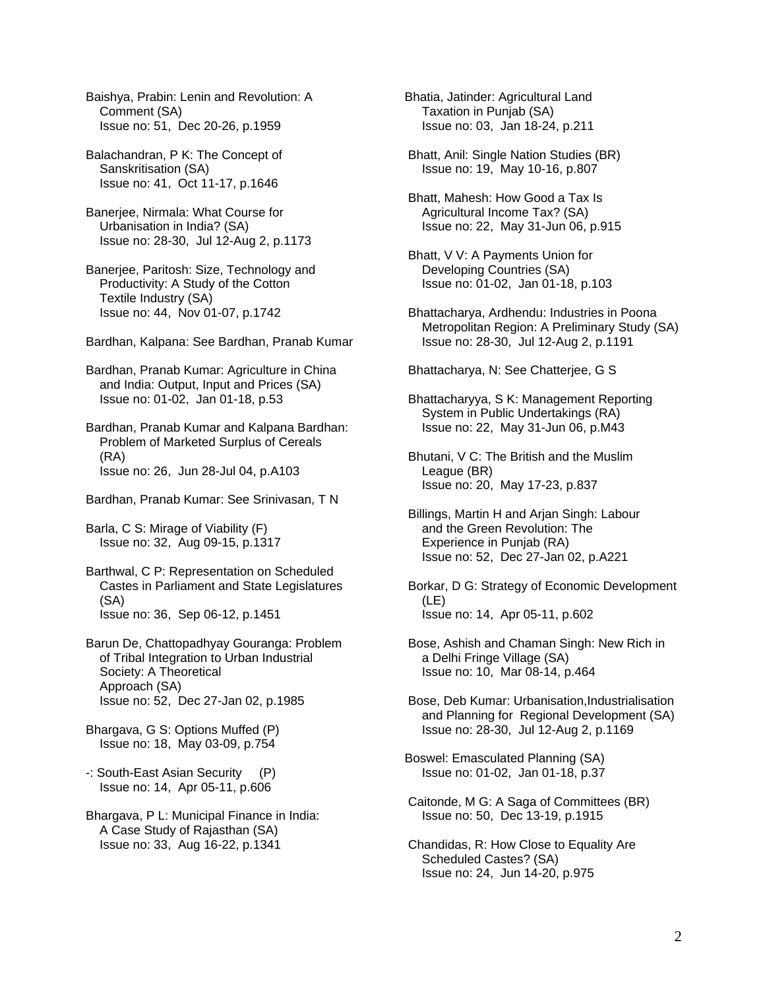Baishya, Prabin: Lenin and Revolution: A Comment (SA) Issue no: 51, Dec 20-26, p.1959

 Balachandran, P K: The Concept of Sanskritisation (SA) Issue no: 41, Oct 11-17, p.1646

 Banerjee, Nirmala: What Course for Urbanisation in India? (SA) Issue no: 28-30, Jul 12-Aug 2, p.1173

 Banerjee, Paritosh: Size, Technology and Productivity: A Study of the Cotton Textile Industry (SA) Issue no: 44, Nov 01-07, p.1742

Bardhan, Kalpana: See Bardhan, Pranab Kumar

 Bardhan, Pranab Kumar: Agriculture in China and India: Output, Input and Prices (SA) Issue no: 01-02, Jan 01-18, p.53

 Bardhan, Pranab Kumar and Kalpana Bardhan: Problem of Marketed Surplus of Cereals (RA) Issue no: 26, Jun 28-Jul 04, p.A103

Bardhan, Pranab Kumar: See Srinivasan, T N

 Barla, C S: Mirage of Viability (F) Issue no: 32, Aug 09-15, p.1317

 Barthwal, C P: Representation on Scheduled Castes in Parliament and State Legislatures (SA) Issue no: 36, Sep 06-12, p.1451

 Barun De, Chattopadhyay Gouranga: Problem of Tribal Integration to Urban Industrial Society: A Theoretical Approach (SA) Issue no: 52, Dec 27-Jan 02, p.1985

 Bhargava, G S: Options Muffed (P) Issue no: 18, May 03-09, p.754

 -: South-East Asian Security (P) Issue no: 14, Apr 05-11, p.606

 Bhargava, P L: Municipal Finance in India: A Case Study of Rajasthan (SA) Issue no: 33, Aug 16-22, p.1341

Bhatia, Jatinder: Agricultural Land Taxation in Punjab (SA) Issue no: 03, Jan 18-24, p.211

 Bhatt, Anil: Single Nation Studies (BR) Issue no: 19, May 10-16, p.807

 Bhatt, Mahesh: How Good a Tax Is Agricultural Income Tax? (SA) Issue no: 22, May 31-Jun 06, p.915

 Bhatt, V V: A Payments Union for Developing Countries (SA) Issue no: 01-02, Jan 01-18, p.103

 Bhattacharya, Ardhendu: Industries in Poona Metropolitan Region: A Preliminary Study (SA) Issue no: 28-30, Jul 12-Aug 2, p.1191

Bhattacharya, N: See Chatterjee, G S

 Bhattacharyya, S K: Management Reporting System in Public Undertakings (RA) Issue no: 22, May 31-Jun 06, p.M43

 Bhutani, V C: The British and the Muslim League (BR) Issue no: 20, May 17-23, p.837

 Billings, Martin H and Arjan Singh: Labour and the Green Revolution: The Experience in Punjab (RA) Issue no: 52, Dec 27-Jan 02, p.A221

 Borkar, D G: Strategy of Economic Development (LE) Issue no: 14, Apr 05-11, p.602

 Bose, Ashish and Chaman Singh: New Rich in a Delhi Fringe Village (SA) Issue no: 10, Mar 08-14, p.464

 Bose, Deb Kumar: Urbanisation,Industrialisation and Planning for Regional Development (SA) Issue no: 28-30, Jul 12-Aug 2, p.1169

Boswel: Emasculated Planning (SA) Issue no: 01-02, Jan 01-18, p.37

 Caitonde, M G: A Saga of Committees (BR) Issue no: 50, Dec 13-19, p.1915

 Chandidas, R: How Close to Equality Are Scheduled Castes? (SA) Issue no: 24, Jun 14-20, p.975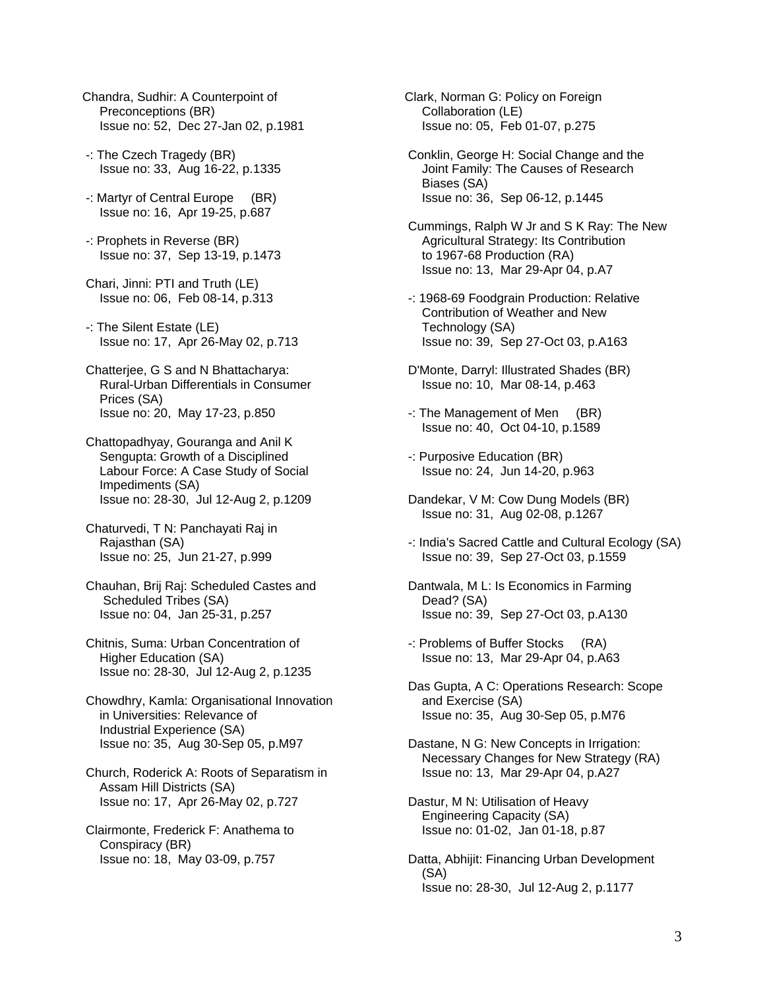- Chandra, Sudhir: A Counterpoint of Preconceptions (BR) Issue no: 52, Dec 27-Jan 02, p.1981
- -: The Czech Tragedy (BR) Issue no: 33, Aug 16-22, p.1335
- -: Martyr of Central Europe (BR) Issue no: 16, Apr 19-25, p.687
- -: Prophets in Reverse (BR) Issue no: 37, Sep 13-19, p.1473
- Chari, Jinni: PTI and Truth (LE) Issue no: 06, Feb 08-14, p.313
- -: The Silent Estate (LE) Issue no: 17, Apr 26-May 02, p.713
- Chatterjee, G S and N Bhattacharya: Rural-Urban Differentials in Consumer Prices (SA) Issue no: 20, May 17-23, p.850
- Chattopadhyay, Gouranga and Anil K Sengupta: Growth of a Disciplined Labour Force: A Case Study of Social Impediments (SA) Issue no: 28-30, Jul 12-Aug 2, p.1209
- Chaturvedi, T N: Panchayati Raj in Rajasthan (SA) Issue no: 25, Jun 21-27, p.999
- Chauhan, Brij Raj: Scheduled Castes and Scheduled Tribes (SA) Issue no: 04, Jan 25-31, p.257
- Chitnis, Suma: Urban Concentration of Higher Education (SA) Issue no: 28-30, Jul 12-Aug 2, p.1235
- Chowdhry, Kamla: Organisational Innovation in Universities: Relevance of Industrial Experience (SA) Issue no: 35, Aug 30-Sep 05, p.M97
- Church, Roderick A: Roots of Separatism in Assam Hill Districts (SA) Issue no: 17, Apr 26-May 02, p.727
- Clairmonte, Frederick F: Anathema to Conspiracy (BR) Issue no: 18, May 03-09, p.757

Clark, Norman G: Policy on Foreign Collaboration (LE) Issue no: 05, Feb 01-07, p.275

- Conklin, George H: Social Change and the Joint Family: The Causes of Research Biases (SA) Issue no: 36, Sep 06-12, p.1445
- Cummings, Ralph W Jr and S K Ray: The New Agricultural Strategy: Its Contribution to 1967-68 Production (RA) Issue no: 13, Mar 29-Apr 04, p.A7
- -: 1968-69 Foodgrain Production: Relative Contribution of Weather and New Technology (SA) Issue no: 39, Sep 27-Oct 03, p.A163
- D'Monte, Darryl: Illustrated Shades (BR) Issue no: 10, Mar 08-14, p.463
- -: The Management of Men (BR) Issue no: 40, Oct 04-10, p.1589
- -: Purposive Education (BR) Issue no: 24, Jun 14-20, p.963
- Dandekar, V M: Cow Dung Models (BR) Issue no: 31, Aug 02-08, p.1267
- -: India's Sacred Cattle and Cultural Ecology (SA) Issue no: 39, Sep 27-Oct 03, p.1559
- Dantwala, M L: Is Economics in Farming Dead? (SA) Issue no: 39, Sep 27-Oct 03, p.A130
- -: Problems of Buffer Stocks (RA) Issue no: 13, Mar 29-Apr 04, p.A63
- Das Gupta, A C: Operations Research: Scope and Exercise (SA) Issue no: 35, Aug 30-Sep 05, p.M76
- Dastane, N G: New Concepts in Irrigation: Necessary Changes for New Strategy (RA) Issue no: 13, Mar 29-Apr 04, p.A27
- Dastur, M N: Utilisation of Heavy Engineering Capacity (SA) Issue no: 01-02, Jan 01-18, p.87
- Datta, Abhijit: Financing Urban Development (SA) Issue no: 28-30, Jul 12-Aug 2, p.1177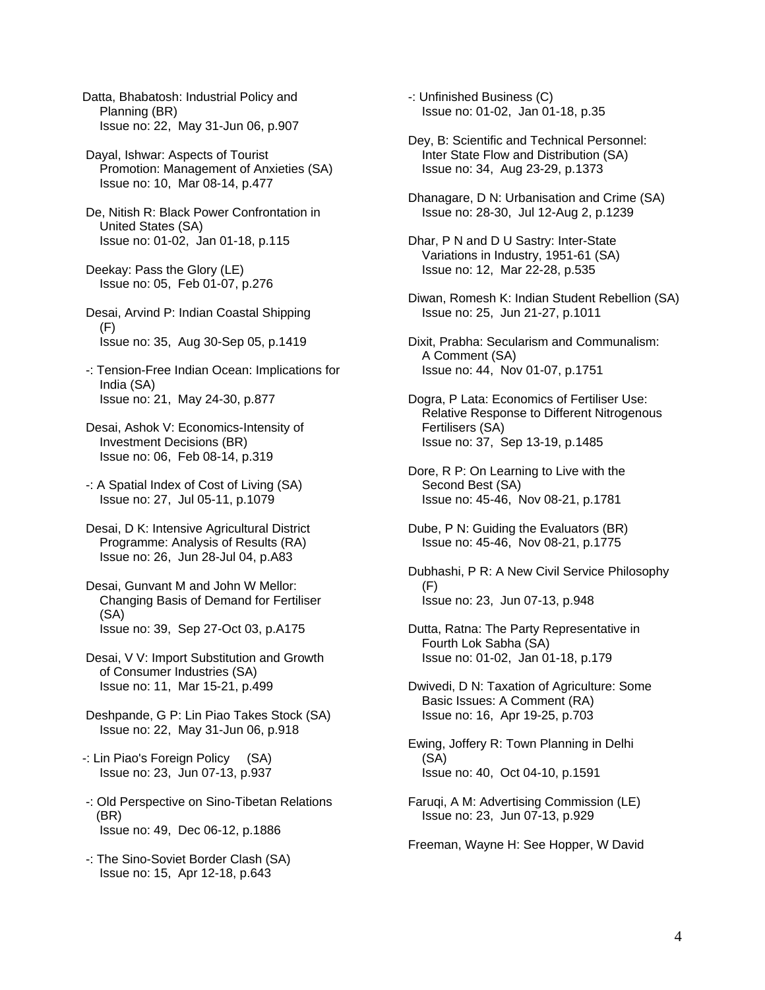Datta, Bhabatosh: Industrial Policy and Planning (BR) Issue no: 22, May 31-Jun 06, p.907

- Dayal, Ishwar: Aspects of Tourist Promotion: Management of Anxieties (SA) Issue no: 10, Mar 08-14, p.477
- De, Nitish R: Black Power Confrontation in United States (SA) Issue no: 01-02, Jan 01-18, p.115
- Deekay: Pass the Glory (LE) Issue no: 05, Feb 01-07, p.276
- Desai, Arvind P: Indian Coastal Shipping (F) Issue no: 35, Aug 30-Sep 05, p.1419
- -: Tension-Free Indian Ocean: Implications for India (SA) Issue no: 21, May 24-30, p.877
- Desai, Ashok V: Economics-Intensity of Investment Decisions (BR) Issue no: 06, Feb 08-14, p.319
- -: A Spatial Index of Cost of Living (SA) Issue no: 27, Jul 05-11, p.1079
- Desai, D K: Intensive Agricultural District Programme: Analysis of Results (RA) Issue no: 26, Jun 28-Jul 04, p.A83
- Desai, Gunvant M and John W Mellor: Changing Basis of Demand for Fertiliser (SA) Issue no: 39, Sep 27-Oct 03, p.A175
- Desai, V V: Import Substitution and Growth of Consumer Industries (SA) Issue no: 11, Mar 15-21, p.499
- Deshpande, G P: Lin Piao Takes Stock (SA) Issue no: 22, May 31-Jun 06, p.918
- -: Lin Piao's Foreign Policy (SA) Issue no: 23, Jun 07-13, p.937
- -: Old Perspective on Sino-Tibetan Relations (BR) Issue no: 49, Dec 06-12, p.1886
- -: The Sino-Soviet Border Clash (SA) Issue no: 15, Apr 12-18, p.643

 -: Unfinished Business (C) Issue no: 01-02, Jan 01-18, p.35

- Dey, B: Scientific and Technical Personnel: Inter State Flow and Distribution (SA) Issue no: 34, Aug 23-29, p.1373
- Dhanagare, D N: Urbanisation and Crime (SA) Issue no: 28-30, Jul 12-Aug 2, p.1239
- Dhar, P N and D U Sastry: Inter-State Variations in Industry, 1951-61 (SA) Issue no: 12, Mar 22-28, p.535
- Diwan, Romesh K: Indian Student Rebellion (SA) Issue no: 25, Jun 21-27, p.1011
- Dixit, Prabha: Secularism and Communalism: A Comment (SA) Issue no: 44, Nov 01-07, p.1751
- Dogra, P Lata: Economics of Fertiliser Use: Relative Response to Different Nitrogenous Fertilisers (SA) Issue no: 37, Sep 13-19, p.1485
- Dore, R P: On Learning to Live with the Second Best (SA) Issue no: 45-46, Nov 08-21, p.1781
- Dube, P N: Guiding the Evaluators (BR) Issue no: 45-46, Nov 08-21, p.1775
- Dubhashi, P R: A New Civil Service Philosophy (F) Issue no: 23, Jun 07-13, p.948
- Dutta, Ratna: The Party Representative in Fourth Lok Sabha (SA) Issue no: 01-02, Jan 01-18, p.179
- Dwivedi, D N: Taxation of Agriculture: Some Basic Issues: A Comment (RA) Issue no: 16, Apr 19-25, p.703
- Ewing, Joffery R: Town Planning in Delhi (SA) Issue no: 40, Oct 04-10, p.1591
- Faruqi, A M: Advertising Commission (LE) Issue no: 23, Jun 07-13, p.929

Freeman, Wayne H: See Hopper, W David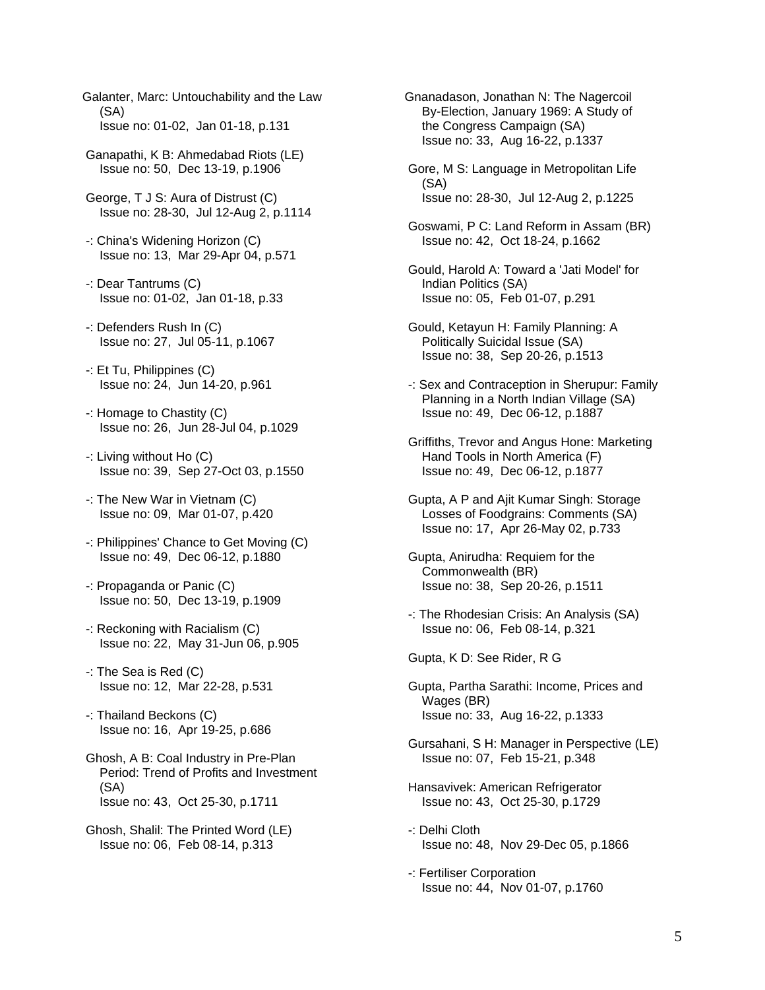- Galanter, Marc: Untouchability and the Law (SA) Issue no: 01-02, Jan 01-18, p.131
- Ganapathi, K B: Ahmedabad Riots (LE) Issue no: 50, Dec 13-19, p.1906
- George, T J S: Aura of Distrust (C) Issue no: 28-30, Jul 12-Aug 2, p.1114
- -: China's Widening Horizon (C) Issue no: 13, Mar 29-Apr 04, p.571
- -: Dear Tantrums (C) Issue no: 01-02, Jan 01-18, p.33
- -: Defenders Rush In (C) Issue no: 27, Jul 05-11, p.1067
- -: Et Tu, Philippines (C) Issue no: 24, Jun 14-20, p.961
- -: Homage to Chastity (C) Issue no: 26, Jun 28-Jul 04, p.1029
- -: Living without Ho (C) Issue no: 39, Sep 27-Oct 03, p.1550
- -: The New War in Vietnam (C) Issue no: 09, Mar 01-07, p.420
- -: Philippines' Chance to Get Moving (C) Issue no: 49, Dec 06-12, p.1880
- -: Propaganda or Panic (C) Issue no: 50, Dec 13-19, p.1909
- -: Reckoning with Racialism (C) Issue no: 22, May 31-Jun 06, p.905
- -: The Sea is Red (C) Issue no: 12, Mar 22-28, p.531
- -: Thailand Beckons (C) Issue no: 16, Apr 19-25, p.686
- Ghosh, A B: Coal Industry in Pre-Plan Period: Trend of Profits and Investment (SA) Issue no: 43, Oct 25-30, p.1711
- Ghosh, Shalil: The Printed Word (LE) Issue no: 06, Feb 08-14, p.313

Gnanadason, Jonathan N: The Nagercoil By-Election, January 1969: A Study of the Congress Campaign (SA) Issue no: 33, Aug 16-22, p.1337

- Gore, M S: Language in Metropolitan Life (SA) Issue no: 28-30, Jul 12-Aug 2, p.1225
- Goswami, P C: Land Reform in Assam (BR) Issue no: 42, Oct 18-24, p.1662
- Gould, Harold A: Toward a 'Jati Model' for Indian Politics (SA) Issue no: 05, Feb 01-07, p.291
- Gould, Ketayun H: Family Planning: A Politically Suicidal Issue (SA) Issue no: 38, Sep 20-26, p.1513
- -: Sex and Contraception in Sherupur: Family Planning in a North Indian Village (SA) Issue no: 49, Dec 06-12, p.1887
- Griffiths, Trevor and Angus Hone: Marketing Hand Tools in North America (F) Issue no: 49, Dec 06-12, p.1877
- Gupta, A P and Ajit Kumar Singh: Storage Losses of Foodgrains: Comments (SA) Issue no: 17, Apr 26-May 02, p.733
- Gupta, Anirudha: Requiem for the Commonwealth (BR) Issue no: 38, Sep 20-26, p.1511
- -: The Rhodesian Crisis: An Analysis (SA) Issue no: 06, Feb 08-14, p.321

Gupta, K D: See Rider, R G

- Gupta, Partha Sarathi: Income, Prices and Wages (BR) Issue no: 33, Aug 16-22, p.1333
- Gursahani, S H: Manager in Perspective (LE) Issue no: 07, Feb 15-21, p.348
- Hansavivek: American Refrigerator Issue no: 43, Oct 25-30, p.1729
- -: Delhi Cloth Issue no: 48, Nov 29-Dec 05, p.1866
- -: Fertiliser Corporation Issue no: 44, Nov 01-07, p.1760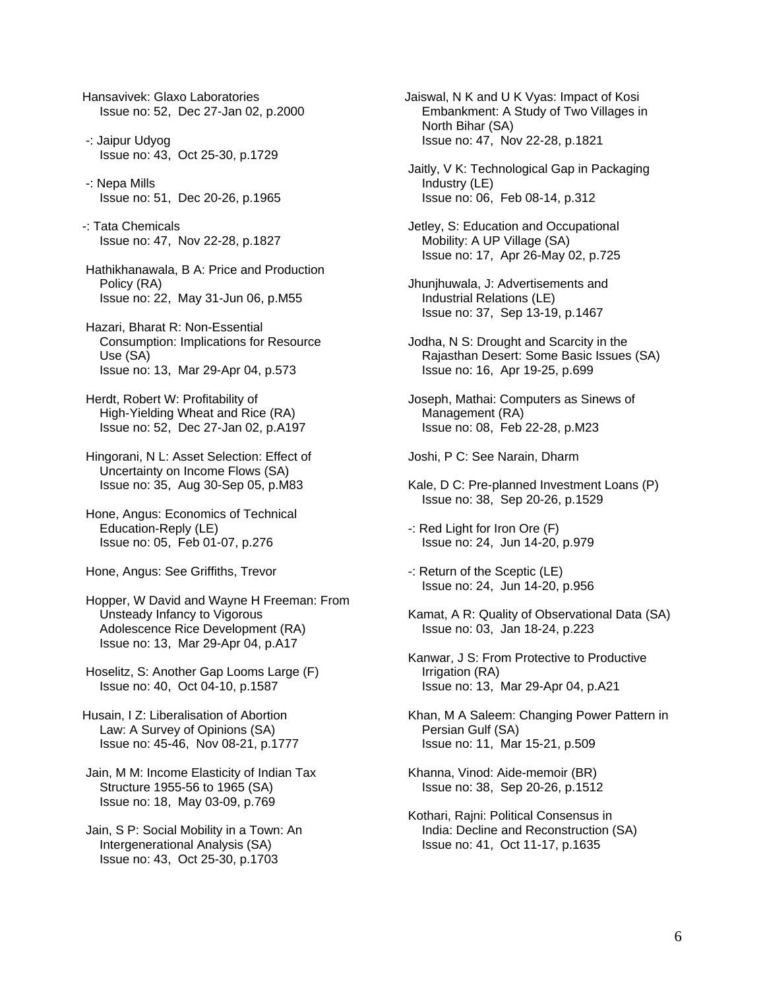Hansavivek: Glaxo Laboratories Issue no: 52, Dec 27-Jan 02, p.2000

- -: Jaipur Udyog Issue no: 43, Oct 25-30, p.1729
- -: Nepa Mills Issue no: 51, Dec 20-26, p.1965
- -: Tata Chemicals Issue no: 47, Nov 22-28, p.1827
- Hathikhanawala, B A: Price and Production Policy (RA) Issue no: 22, May 31-Jun 06, p.M55
- Hazari, Bharat R: Non-Essential Consumption: Implications for Resource Use (SA) Issue no: 13, Mar 29-Apr 04, p.573
- Herdt, Robert W: Profitability of High-Yielding Wheat and Rice (RA) Issue no: 52, Dec 27-Jan 02, p.A197
- Hingorani, N L: Asset Selection: Effect of Uncertainty on Income Flows (SA) Issue no: 35, Aug 30-Sep 05, p.M83
- Hone, Angus: Economics of Technical Education-Reply (LE) Issue no: 05, Feb 01-07, p.276
- Hone, Angus: See Griffiths, Trevor
- Hopper, W David and Wayne H Freeman: From Unsteady Infancy to Vigorous Adolescence Rice Development (RA) Issue no: 13, Mar 29-Apr 04, p.A17
- Hoselitz, S: Another Gap Looms Large (F) Issue no: 40, Oct 04-10, p.1587
- Husain, I Z: Liberalisation of Abortion Law: A Survey of Opinions (SA) Issue no: 45-46, Nov 08-21, p.1777
- Jain, M M: Income Elasticity of Indian Tax Structure 1955-56 to 1965 (SA) Issue no: 18, May 03-09, p.769
- Jain, S P: Social Mobility in a Town: An Intergenerational Analysis (SA) Issue no: 43, Oct 25-30, p.1703
- Jaiswal, N K and U K Vyas: Impact of Kosi Embankment: A Study of Two Villages in North Bihar (SA) Issue no: 47, Nov 22-28, p.1821
- Jaitly, V K: Technological Gap in Packaging Industry (LE) Issue no: 06, Feb 08-14, p.312
- Jetley, S: Education and Occupational Mobility: A UP Village (SA) Issue no: 17, Apr 26-May 02, p.725
- Jhunjhuwala, J: Advertisements and Industrial Relations (LE) Issue no: 37, Sep 13-19, p.1467
- Jodha, N S: Drought and Scarcity in the Rajasthan Desert: Some Basic Issues (SA) Issue no: 16, Apr 19-25, p.699
- Joseph, Mathai: Computers as Sinews of Management (RA) Issue no: 08, Feb 22-28, p.M23

Joshi, P C: See Narain, Dharm

- Kale, D C: Pre-planned Investment Loans (P) Issue no: 38, Sep 20-26, p.1529
- -: Red Light for Iron Ore (F) Issue no: 24, Jun 14-20, p.979
- -: Return of the Sceptic (LE) Issue no: 24, Jun 14-20, p.956
- Kamat, A R: Quality of Observational Data (SA) Issue no: 03, Jan 18-24, p.223
- Kanwar, J S: From Protective to Productive Irrigation (RA) Issue no: 13, Mar 29-Apr 04, p.A21
- Khan, M A Saleem: Changing Power Pattern in Persian Gulf (SA) Issue no: 11, Mar 15-21, p.509
- Khanna, Vinod: Aide-memoir (BR) Issue no: 38, Sep 20-26, p.1512
- Kothari, Rajni: Political Consensus in India: Decline and Reconstruction (SA) Issue no: 41, Oct 11-17, p.1635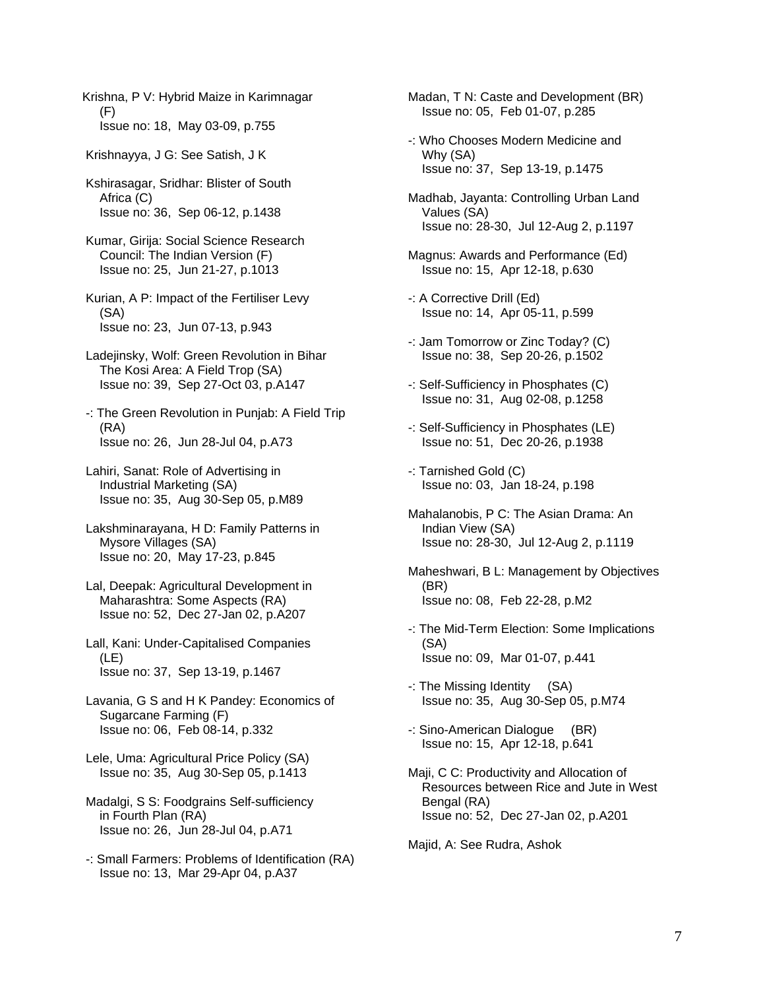Krishna, P V: Hybrid Maize in Karimnagar (F) Issue no: 18, May 03-09, p.755

Krishnayya, J G: See Satish, J K

 Kshirasagar, Sridhar: Blister of South Africa (C) Issue no: 36, Sep 06-12, p.1438

 Kumar, Girija: Social Science Research Council: The Indian Version (F) Issue no: 25, Jun 21-27, p.1013

- Kurian, A P: Impact of the Fertiliser Levy (SA) Issue no: 23, Jun 07-13, p.943
- Ladejinsky, Wolf: Green Revolution in Bihar The Kosi Area: A Field Trop (SA) Issue no: 39, Sep 27-Oct 03, p.A147
- -: The Green Revolution in Punjab: A Field Trip (RA) Issue no: 26, Jun 28-Jul 04, p.A73
- Lahiri, Sanat: Role of Advertising in Industrial Marketing (SA) Issue no: 35, Aug 30-Sep 05, p.M89
- Lakshminarayana, H D: Family Patterns in Mysore Villages (SA) Issue no: 20, May 17-23, p.845
- Lal, Deepak: Agricultural Development in Maharashtra: Some Aspects (RA) Issue no: 52, Dec 27-Jan 02, p.A207
- Lall, Kani: Under-Capitalised Companies (LE) Issue no: 37, Sep 13-19, p.1467
- Lavania, G S and H K Pandey: Economics of Sugarcane Farming (F) Issue no: 06, Feb 08-14, p.332
- Lele, Uma: Agricultural Price Policy (SA) Issue no: 35, Aug 30-Sep 05, p.1413
- Madalgi, S S: Foodgrains Self-sufficiency in Fourth Plan (RA) Issue no: 26, Jun 28-Jul 04, p.A71
- -: Small Farmers: Problems of Identification (RA) Issue no: 13, Mar 29-Apr 04, p.A37

 Madan, T N: Caste and Development (BR) Issue no: 05, Feb 01-07, p.285

- -: Who Chooses Modern Medicine and Why (SA) Issue no: 37, Sep 13-19, p.1475
- Madhab, Jayanta: Controlling Urban Land Values (SA) Issue no: 28-30, Jul 12-Aug 2, p.1197
- Magnus: Awards and Performance (Ed) Issue no: 15, Apr 12-18, p.630
- -: A Corrective Drill (Ed) Issue no: 14, Apr 05-11, p.599
- -: Jam Tomorrow or Zinc Today? (C) Issue no: 38, Sep 20-26, p.1502
- -: Self-Sufficiency in Phosphates (C) Issue no: 31, Aug 02-08, p.1258
- -: Self-Sufficiency in Phosphates (LE) Issue no: 51, Dec 20-26, p.1938
- -: Tarnished Gold (C) Issue no: 03, Jan 18-24, p.198
- Mahalanobis, P C: The Asian Drama: An Indian View (SA) Issue no: 28-30, Jul 12-Aug 2, p.1119
- Maheshwari, B L: Management by Objectives (BR) Issue no: 08, Feb 22-28, p.M2
- -: The Mid-Term Election: Some Implications (SA) Issue no: 09, Mar 01-07, p.441
- -: The Missing Identity (SA) Issue no: 35, Aug 30-Sep 05, p.M74
- -: Sino-American Dialogue (BR) Issue no: 15, Apr 12-18, p.641
- Maji, C C: Productivity and Allocation of Resources between Rice and Jute in West Bengal (RA) Issue no: 52, Dec 27-Jan 02, p.A201

Majid, A: See Rudra, Ashok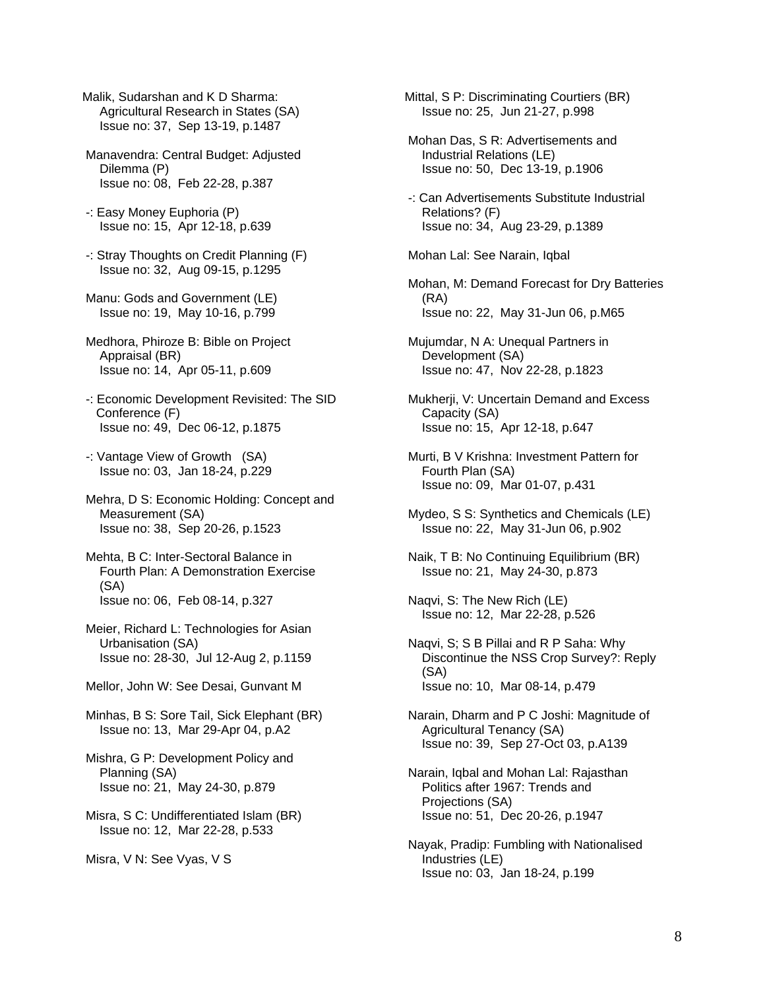- Malik, Sudarshan and K D Sharma: Agricultural Research in States (SA) Issue no: 37, Sep 13-19, p.1487
- Manavendra: Central Budget: Adjusted Dilemma (P) Issue no: 08, Feb 22-28, p.387
- -: Easy Money Euphoria (P) Issue no: 15, Apr 12-18, p.639
- -: Stray Thoughts on Credit Planning (F) Issue no: 32, Aug 09-15, p.1295
- Manu: Gods and Government (LE) Issue no: 19, May 10-16, p.799
- Medhora, Phiroze B: Bible on Project Appraisal (BR) Issue no: 14, Apr 05-11, p.609
- -: Economic Development Revisited: The SID Conference (F) Issue no: 49, Dec 06-12, p.1875
- -: Vantage View of Growth (SA) Issue no: 03, Jan 18-24, p.229
- Mehra, D S: Economic Holding: Concept and Measurement (SA) Issue no: 38, Sep 20-26, p.1523
- Mehta, B C: Inter-Sectoral Balance in Fourth Plan: A Demonstration Exercise (SA) Issue no: 06, Feb 08-14, p.327
- Meier, Richard L: Technologies for Asian Urbanisation (SA) Issue no: 28-30, Jul 12-Aug 2, p.1159
- Mellor, John W: See Desai, Gunvant M
- Minhas, B S: Sore Tail, Sick Elephant (BR) Issue no: 13, Mar 29-Apr 04, p.A2
- Mishra, G P: Development Policy and Planning (SA) Issue no: 21, May 24-30, p.879
- Misra, S C: Undifferentiated Islam (BR) Issue no: 12, Mar 22-28, p.533

Misra, V N: See Vyas, V S

Mittal, S P: Discriminating Courtiers (BR) Issue no: 25, Jun 21-27, p.998

- Mohan Das, S R: Advertisements and Industrial Relations (LE) Issue no: 50, Dec 13-19, p.1906
- -: Can Advertisements Substitute Industrial Relations? (F) Issue no: 34, Aug 23-29, p.1389

Mohan Lal: See Narain, Iqbal

- Mohan, M: Demand Forecast for Dry Batteries (RA) Issue no: 22, May 31-Jun 06, p.M65
- Mujumdar, N A: Unequal Partners in Development (SA) Issue no: 47, Nov 22-28, p.1823

 Mukherji, V: Uncertain Demand and Excess Capacity (SA) Issue no: 15, Apr 12-18, p.647

- Murti, B V Krishna: Investment Pattern for Fourth Plan (SA) Issue no: 09, Mar 01-07, p.431
- Mydeo, S S: Synthetics and Chemicals (LE) Issue no: 22, May 31-Jun 06, p.902
- Naik, T B: No Continuing Equilibrium (BR) Issue no: 21, May 24-30, p.873
- Naqvi, S: The New Rich (LE) Issue no: 12, Mar 22-28, p.526
- Naqvi, S; S B Pillai and R P Saha: Why Discontinue the NSS Crop Survey?: Reply (SA) Issue no: 10, Mar 08-14, p.479
- Narain, Dharm and P C Joshi: Magnitude of Agricultural Tenancy (SA) Issue no: 39, Sep 27-Oct 03, p.A139
- Narain, Iqbal and Mohan Lal: Rajasthan Politics after 1967: Trends and Projections (SA) Issue no: 51, Dec 20-26, p.1947
- Nayak, Pradip: Fumbling with Nationalised Industries (LE) Issue no: 03, Jan 18-24, p.199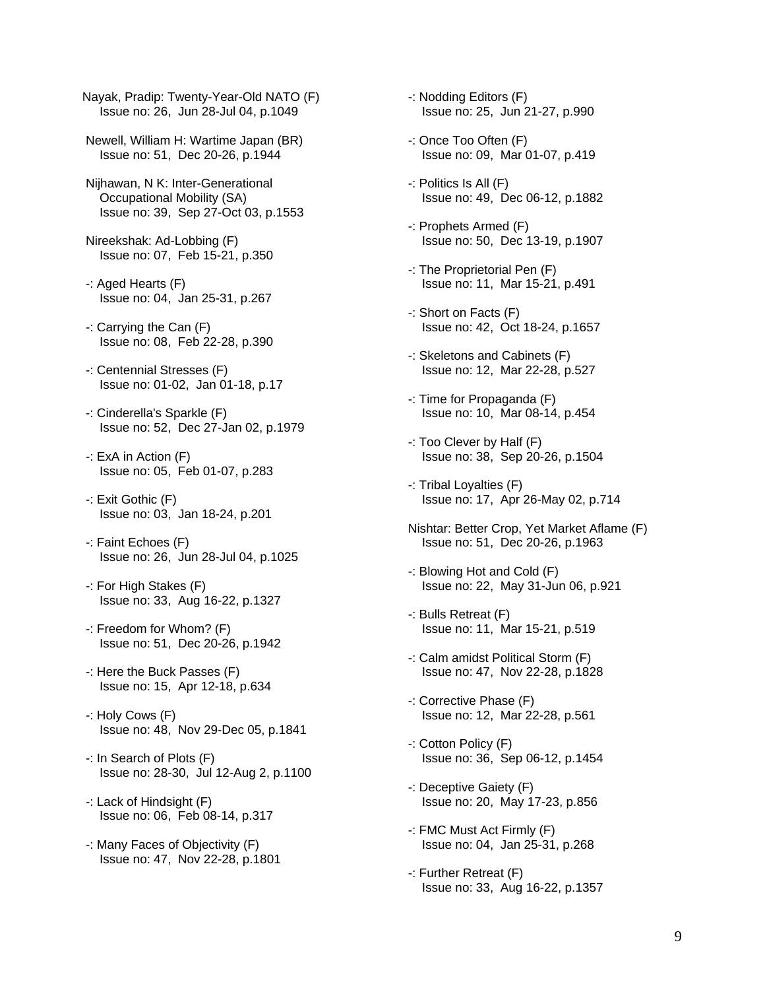Nayak, Pradip: Twenty-Year-Old NATO (F) Issue no: 26, Jun 28-Jul 04, p.1049

- Newell, William H: Wartime Japan (BR) Issue no: 51, Dec 20-26, p.1944
- Nijhawan, N K: Inter-Generational Occupational Mobility (SA) Issue no: 39, Sep 27-Oct 03, p.1553
- Nireekshak: Ad-Lobbing (F) Issue no: 07, Feb 15-21, p.350
- -: Aged Hearts (F) Issue no: 04, Jan 25-31, p.267
- -: Carrying the Can (F) Issue no: 08, Feb 22-28, p.390
- -: Centennial Stresses (F) Issue no: 01-02, Jan 01-18, p.17
- -: Cinderella's Sparkle (F) Issue no: 52, Dec 27-Jan 02, p.1979
- -: ExA in Action (F) Issue no: 05, Feb 01-07, p.283
- -: Exit Gothic (F) Issue no: 03, Jan 18-24, p.201
- -: Faint Echoes (F) Issue no: 26, Jun 28-Jul 04, p.1025
- -: For High Stakes (F) Issue no: 33, Aug 16-22, p.1327
- -: Freedom for Whom? (F) Issue no: 51, Dec 20-26, p.1942
- -: Here the Buck Passes (F) Issue no: 15, Apr 12-18, p.634
- -: Holy Cows (F) Issue no: 48, Nov 29-Dec 05, p.1841
- -: In Search of Plots (F) Issue no: 28-30, Jul 12-Aug 2, p.1100
- -: Lack of Hindsight (F) Issue no: 06, Feb 08-14, p.317
- -: Many Faces of Objectivity (F) Issue no: 47, Nov 22-28, p.1801
- -: Nodding Editors (F) Issue no: 25, Jun 21-27, p.990
- -: Once Too Often (F) Issue no: 09, Mar 01-07, p.419
- -: Politics Is All (F) Issue no: 49, Dec 06-12, p.1882
- -: Prophets Armed (F) Issue no: 50, Dec 13-19, p.1907
- -: The Proprietorial Pen (F) Issue no: 11, Mar 15-21, p.491
- -: Short on Facts (F) Issue no: 42, Oct 18-24, p.1657
- -: Skeletons and Cabinets (F) Issue no: 12, Mar 22-28, p.527
- -: Time for Propaganda (F) Issue no: 10, Mar 08-14, p.454
- -: Too Clever by Half (F) Issue no: 38, Sep 20-26, p.1504
- -: Tribal Loyalties (F) Issue no: 17, Apr 26-May 02, p.714
- Nishtar: Better Crop, Yet Market Aflame (F) Issue no: 51, Dec 20-26, p.1963
- -: Blowing Hot and Cold (F) Issue no: 22, May 31-Jun 06, p.921
- -: Bulls Retreat (F) Issue no: 11, Mar 15-21, p.519
- -: Calm amidst Political Storm (F) Issue no: 47, Nov 22-28, p.1828
- -: Corrective Phase (F) Issue no: 12, Mar 22-28, p.561
- -: Cotton Policy (F) Issue no: 36, Sep 06-12, p.1454
- -: Deceptive Gaiety (F) Issue no: 20, May 17-23, p.856
- -: FMC Must Act Firmly (F) Issue no: 04, Jan 25-31, p.268
- -: Further Retreat (F) Issue no: 33, Aug 16-22, p.1357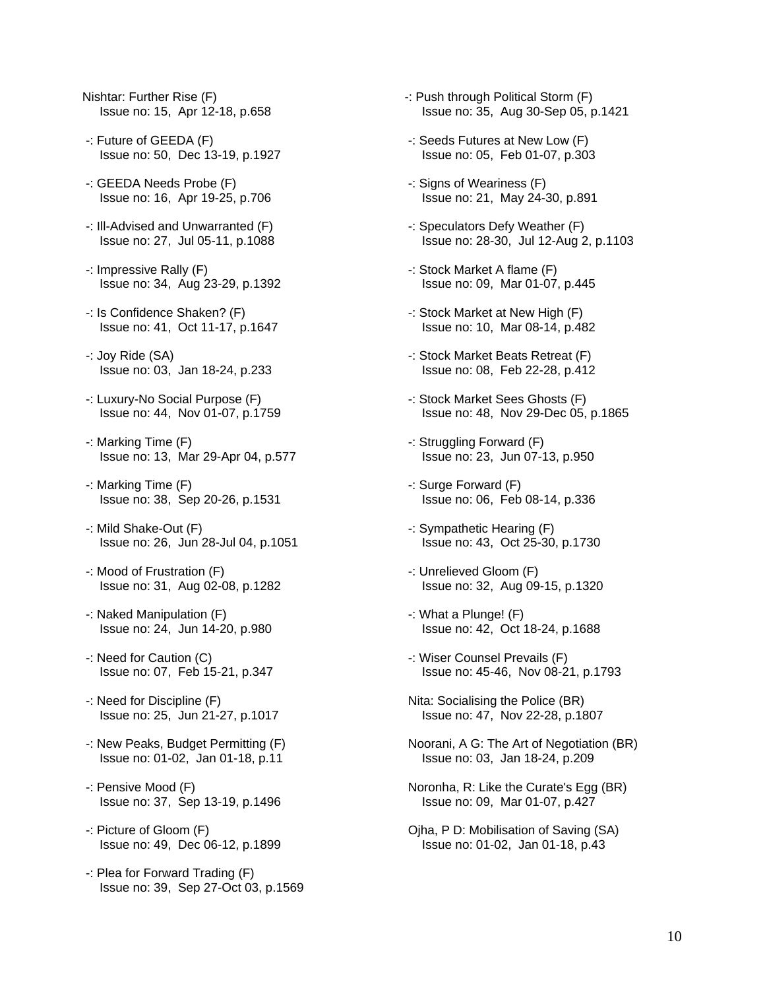- Nishtar: Further Rise (F) Issue no: 15, Apr 12-18, p.658
- -: Future of GEEDA (F) Issue no: 50, Dec 13-19, p.1927
- -: GEEDA Needs Probe (F) Issue no: 16, Apr 19-25, p.706
- -: Ill-Advised and Unwarranted (F) Issue no: 27, Jul 05-11, p.1088
- -: Impressive Rally (F) Issue no: 34, Aug 23-29, p.1392
- -: Is Confidence Shaken? (F) Issue no: 41, Oct 11-17, p.1647
- -: Joy Ride (SA) Issue no: 03, Jan 18-24, p.233
- -: Luxury-No Social Purpose (F) Issue no: 44, Nov 01-07, p.1759
- -: Marking Time (F) Issue no: 13, Mar 29-Apr 04, p.577
- -: Marking Time (F) Issue no: 38, Sep 20-26, p.1531
- -: Mild Shake-Out (F) Issue no: 26, Jun 28-Jul 04, p.1051
- -: Mood of Frustration (F) Issue no: 31, Aug 02-08, p.1282
- -: Naked Manipulation (F) Issue no: 24, Jun 14-20, p.980
- -: Need for Caution (C) Issue no: 07, Feb 15-21, p.347
- -: Need for Discipline (F) Issue no: 25, Jun 21-27, p.1017
- -: New Peaks, Budget Permitting (F) Issue no: 01-02, Jan 01-18, p.11
- -: Pensive Mood (F) Issue no: 37, Sep 13-19, p.1496
- -: Picture of Gloom (F) Issue no: 49, Dec 06-12, p.1899
- -: Plea for Forward Trading (F) Issue no: 39, Sep 27-Oct 03, p.1569
- -: Push through Political Storm (F) Issue no: 35, Aug 30-Sep 05, p.1421
- -: Seeds Futures at New Low (F) Issue no: 05, Feb 01-07, p.303
- -: Signs of Weariness (F) Issue no: 21, May 24-30, p.891
- -: Speculators Defy Weather (F) Issue no: 28-30, Jul 12-Aug 2, p.1103
- -: Stock Market A flame (F) Issue no: 09, Mar 01-07, p.445
- -: Stock Market at New High (F) Issue no: 10, Mar 08-14, p.482
- -: Stock Market Beats Retreat (F) Issue no: 08, Feb 22-28, p.412
- -: Stock Market Sees Ghosts (F) Issue no: 48, Nov 29-Dec 05, p.1865
- -: Struggling Forward (F) Issue no: 23, Jun 07-13, p.950
- -: Surge Forward (F) Issue no: 06, Feb 08-14, p.336
- -: Sympathetic Hearing (F) Issue no: 43, Oct 25-30, p.1730
- -: Unrelieved Gloom (F) Issue no: 32, Aug 09-15, p.1320
- -: What a Plunge! (F) Issue no: 42, Oct 18-24, p.1688
- -: Wiser Counsel Prevails (F) Issue no: 45-46, Nov 08-21, p.1793
- Nita: Socialising the Police (BR) Issue no: 47, Nov 22-28, p.1807
- Noorani, A G: The Art of Negotiation (BR) Issue no: 03, Jan 18-24, p.209
- Noronha, R: Like the Curate's Egg (BR) Issue no: 09, Mar 01-07, p.427
- Ojha, P D: Mobilisation of Saving (SA) Issue no: 01-02, Jan 01-18, p.43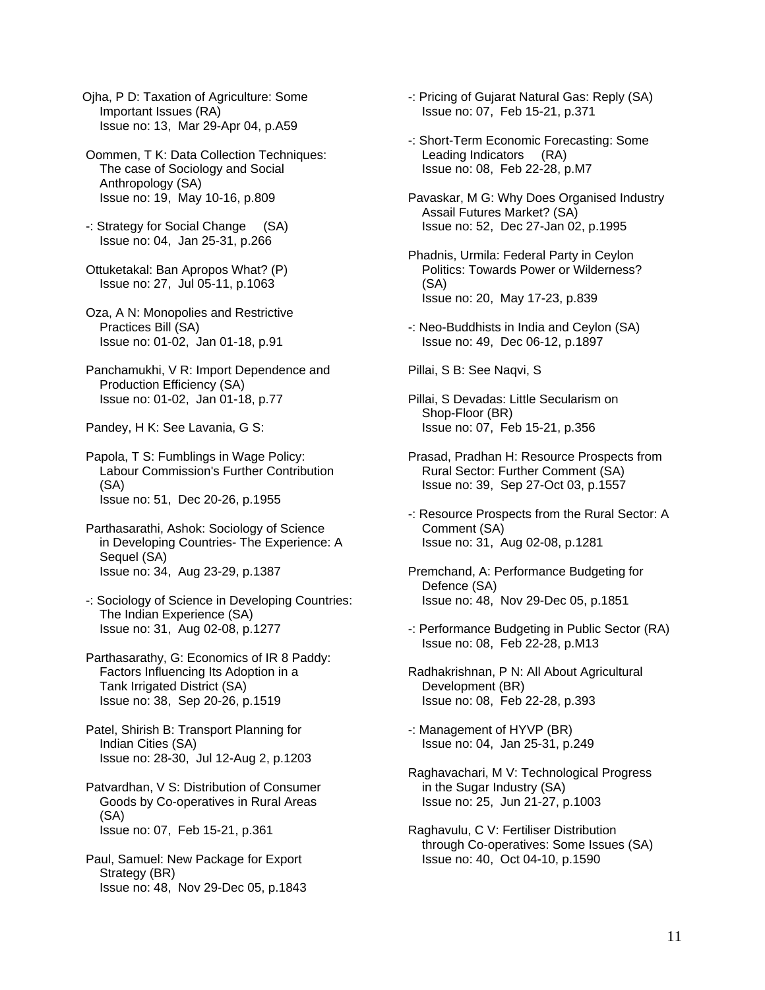- Ojha, P D: Taxation of Agriculture: Some Important Issues (RA) Issue no: 13, Mar 29-Apr 04, p.A59
- Oommen, T K: Data Collection Techniques: The case of Sociology and Social Anthropology (SA) Issue no: 19, May 10-16, p.809
- -: Strategy for Social Change (SA) Issue no: 04, Jan 25-31, p.266
- Ottuketakal: Ban Apropos What? (P) Issue no: 27, Jul 05-11, p.1063
- Oza, A N: Monopolies and Restrictive Practices Bill (SA) Issue no: 01-02, Jan 01-18, p.91
- Panchamukhi, V R: Import Dependence and Production Efficiency (SA) Issue no: 01-02, Jan 01-18, p.77
- Pandey, H K: See Lavania, G S:
- Papola, T S: Fumblings in Wage Policy: Labour Commission's Further Contribution (SA) Issue no: 51, Dec 20-26, p.1955
- Parthasarathi, Ashok: Sociology of Science in Developing Countries- The Experience: A Sequel (SA) Issue no: 34, Aug 23-29, p.1387
- -: Sociology of Science in Developing Countries: The Indian Experience (SA) Issue no: 31, Aug 02-08, p.1277
- Parthasarathy, G: Economics of IR 8 Paddy: Factors Influencing Its Adoption in a Tank Irrigated District (SA) Issue no: 38, Sep 20-26, p.1519
- Patel, Shirish B: Transport Planning for Indian Cities (SA) Issue no: 28-30, Jul 12-Aug 2, p.1203
- Patvardhan, V S: Distribution of Consumer Goods by Co-operatives in Rural Areas (SA) Issue no: 07, Feb 15-21, p.361
- Paul, Samuel: New Package for Export Strategy (BR) Issue no: 48, Nov 29-Dec 05, p.1843
- -: Pricing of Gujarat Natural Gas: Reply (SA) Issue no: 07, Feb 15-21, p.371
- -: Short-Term Economic Forecasting: Some Leading Indicators (RA) Issue no: 08, Feb 22-28, p.M7
- Pavaskar, M G: Why Does Organised Industry Assail Futures Market? (SA) Issue no: 52, Dec 27-Jan 02, p.1995
- Phadnis, Urmila: Federal Party in Ceylon Politics: Towards Power or Wilderness? (SA) Issue no: 20, May 17-23, p.839
- -: Neo-Buddhists in India and Ceylon (SA) Issue no: 49, Dec 06-12, p.1897
- Pillai, S B: See Naqvi, S
- Pillai, S Devadas: Little Secularism on Shop-Floor (BR) Issue no: 07, Feb 15-21, p.356
- Prasad, Pradhan H: Resource Prospects from Rural Sector: Further Comment (SA) Issue no: 39, Sep 27-Oct 03, p.1557
- -: Resource Prospects from the Rural Sector: A Comment (SA) Issue no: 31, Aug 02-08, p.1281
- Premchand, A: Performance Budgeting for Defence (SA) Issue no: 48, Nov 29-Dec 05, p.1851
- -: Performance Budgeting in Public Sector (RA) Issue no: 08, Feb 22-28, p.M13
- Radhakrishnan, P N: All About Agricultural Development (BR) Issue no: 08, Feb 22-28, p.393
- -: Management of HYVP (BR) Issue no: 04, Jan 25-31, p.249
- Raghavachari, M V: Technological Progress in the Sugar Industry (SA) Issue no: 25, Jun 21-27, p.1003
- Raghavulu, C V: Fertiliser Distribution through Co-operatives: Some Issues (SA) Issue no: 40, Oct 04-10, p.1590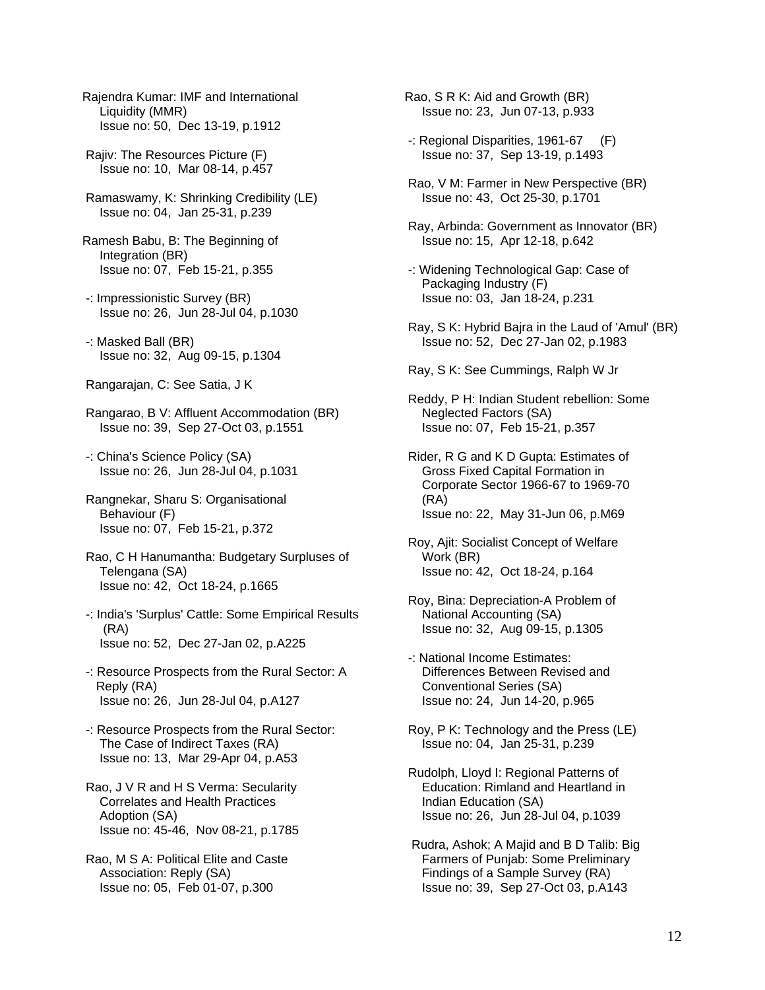- Rajendra Kumar: IMF and International Liquidity (MMR) Issue no: 50, Dec 13-19, p.1912
- Rajiv: The Resources Picture (F) Issue no: 10, Mar 08-14, p.457
- Ramaswamy, K: Shrinking Credibility (LE) Issue no: 04, Jan 25-31, p.239
- Ramesh Babu, B: The Beginning of Integration (BR) Issue no: 07, Feb 15-21, p.355
- -: Impressionistic Survey (BR) Issue no: 26, Jun 28-Jul 04, p.1030
- -: Masked Ball (BR) Issue no: 32, Aug 09-15, p.1304
- Rangarajan, C: See Satia, J K
- Rangarao, B V: Affluent Accommodation (BR) Issue no: 39, Sep 27-Oct 03, p.1551
- -: China's Science Policy (SA) Issue no: 26, Jun 28-Jul 04, p.1031
- Rangnekar, Sharu S: Organisational Behaviour (F) Issue no: 07, Feb 15-21, p.372
- Rao, C H Hanumantha: Budgetary Surpluses of Telengana (SA) Issue no: 42, Oct 18-24, p.1665
- -: India's 'Surplus' Cattle: Some Empirical Results (RA) Issue no: 52, Dec 27-Jan 02, p.A225
- -: Resource Prospects from the Rural Sector: A Reply (RA) Issue no: 26, Jun 28-Jul 04, p.A127
- -: Resource Prospects from the Rural Sector: The Case of Indirect Taxes (RA) Issue no: 13, Mar 29-Apr 04, p.A53
- Rao, J V R and H S Verma: Secularity Correlates and Health Practices Adoption (SA) Issue no: 45-46, Nov 08-21, p.1785
- Rao, M S A: Political Elite and Caste Association: Reply (SA) Issue no: 05, Feb 01-07, p.300
- Rao, S R K: Aid and Growth (BR) Issue no: 23, Jun 07-13, p.933
- -: Regional Disparities, 1961-67 (F) Issue no: 37, Sep 13-19, p.1493
- Rao, V M: Farmer in New Perspective (BR) Issue no: 43, Oct 25-30, p.1701
- Ray, Arbinda: Government as Innovator (BR) Issue no: 15, Apr 12-18, p.642
- -: Widening Technological Gap: Case of Packaging Industry (F) Issue no: 03, Jan 18-24, p.231
- Ray, S K: Hybrid Bajra in the Laud of 'Amul' (BR) Issue no: 52, Dec 27-Jan 02, p.1983
- Ray, S K: See Cummings, Ralph W Jr
- Reddy, P H: Indian Student rebellion: Some Neglected Factors (SA) Issue no: 07, Feb 15-21, p.357
- Rider, R G and K D Gupta: Estimates of Gross Fixed Capital Formation in Corporate Sector 1966-67 to 1969-70 (RA) Issue no: 22, May 31-Jun 06, p.M69
- Roy, Ajit: Socialist Concept of Welfare Work (BR) Issue no: 42, Oct 18-24, p.164
- Roy, Bina: Depreciation-A Problem of National Accounting (SA) Issue no: 32, Aug 09-15, p.1305
- -: National Income Estimates: Differences Between Revised and Conventional Series (SA) Issue no: 24, Jun 14-20, p.965
- Roy, P K: Technology and the Press (LE) Issue no: 04, Jan 25-31, p.239
- Rudolph, Lloyd I: Regional Patterns of Education: Rimland and Heartland in Indian Education (SA) Issue no: 26, Jun 28-Jul 04, p.1039
- Rudra, Ashok; A Majid and B D Talib: Big Farmers of Punjab: Some Preliminary Findings of a Sample Survey (RA) Issue no: 39, Sep 27-Oct 03, p.A143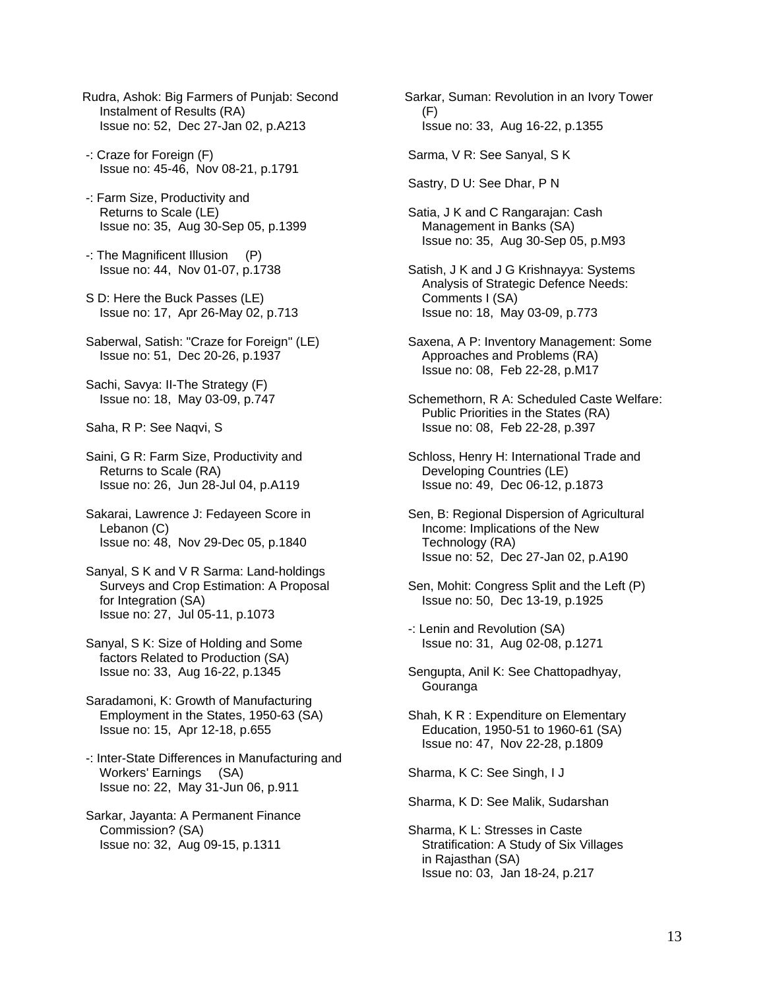- Rudra, Ashok: Big Farmers of Punjab: Second Instalment of Results (RA) Issue no: 52, Dec 27-Jan 02, p.A213
- -: Craze for Foreign (F) Issue no: 45-46, Nov 08-21, p.1791
- -: Farm Size, Productivity and Returns to Scale (LE) Issue no: 35, Aug 30-Sep 05, p.1399
- -: The Magnificent Illusion (P) Issue no: 44, Nov 01-07, p.1738
- S D: Here the Buck Passes (LE) Issue no: 17, Apr 26-May 02, p.713
- Saberwal, Satish: "Craze for Foreign" (LE) Issue no: 51, Dec 20-26, p.1937
- Sachi, Savya: II-The Strategy (F) Issue no: 18, May 03-09, p.747
- Saha, R P: See Naqvi, S
- Saini, G R: Farm Size, Productivity and Returns to Scale (RA) Issue no: 26, Jun 28-Jul 04, p.A119
- Sakarai, Lawrence J: Fedayeen Score in Lebanon (C) Issue no: 48, Nov 29-Dec 05, p.1840
- Sanyal, S K and V R Sarma: Land-holdings Surveys and Crop Estimation: A Proposal for Integration (SA) Issue no: 27, Jul 05-11, p.1073
- Sanyal, S K: Size of Holding and Some factors Related to Production (SA) Issue no: 33, Aug 16-22, p.1345
- Saradamoni, K: Growth of Manufacturing Employment in the States, 1950-63 (SA) Issue no: 15, Apr 12-18, p.655
- -: Inter-State Differences in Manufacturing and Workers' Earnings (SA) Issue no: 22, May 31-Jun 06, p.911
- Sarkar, Jayanta: A Permanent Finance Commission? (SA) Issue no: 32, Aug 09-15, p.1311
- Sarkar, Suman: Revolution in an Ivory Tower (F) Issue no: 33, Aug 16-22, p.1355
- Sarma, V R: See Sanyal, S K
- Sastry, D U: See Dhar, P N
- Satia, J K and C Rangarajan: Cash Management in Banks (SA) Issue no: 35, Aug 30-Sep 05, p.M93
- Satish, J K and J G Krishnayya: Systems Analysis of Strategic Defence Needs: Comments I (SA) Issue no: 18, May 03-09, p.773
- Saxena, A P: Inventory Management: Some Approaches and Problems (RA) Issue no: 08, Feb 22-28, p.M17
- Schemethorn, R A: Scheduled Caste Welfare: Public Priorities in the States (RA) Issue no: 08, Feb 22-28, p.397
- Schloss, Henry H: International Trade and Developing Countries (LE) Issue no: 49, Dec 06-12, p.1873
- Sen, B: Regional Dispersion of Agricultural Income: Implications of the New Technology (RA) Issue no: 52, Dec 27-Jan 02, p.A190
- Sen, Mohit: Congress Split and the Left (P) Issue no: 50, Dec 13-19, p.1925
- -: Lenin and Revolution (SA) Issue no: 31, Aug 02-08, p.1271
- Sengupta, Anil K: See Chattopadhyay, Gouranga
- Shah, K R : Expenditure on Elementary Education, 1950-51 to 1960-61 (SA) Issue no: 47, Nov 22-28, p.1809
- Sharma, K C: See Singh, I J
- Sharma, K D: See Malik, Sudarshan
- Sharma, K L: Stresses in Caste Stratification: A Study of Six Villages in Rajasthan (SA) Issue no: 03, Jan 18-24, p.217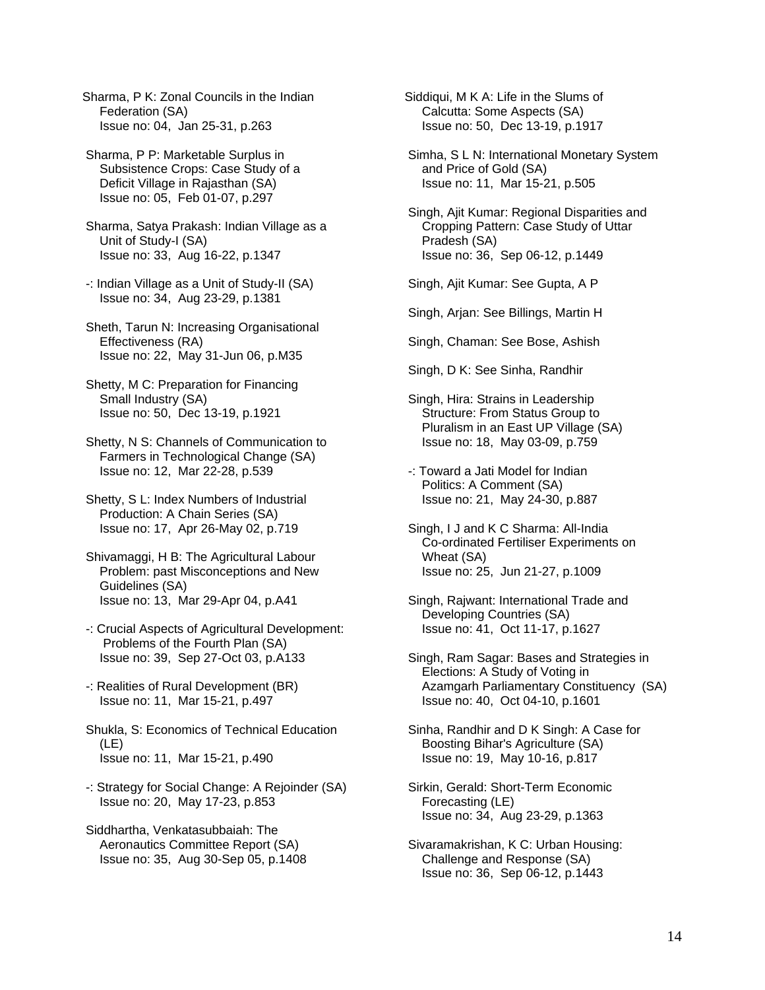Sharma, P K: Zonal Councils in the Indian Federation (SA) Issue no: 04, Jan 25-31, p.263

- Sharma, P P: Marketable Surplus in Subsistence Crops: Case Study of a Deficit Village in Rajasthan (SA) Issue no: 05, Feb 01-07, p.297
- Sharma, Satya Prakash: Indian Village as a Unit of Study-I (SA) Issue no: 33, Aug 16-22, p.1347
- -: Indian Village as a Unit of Study-II (SA) Issue no: 34, Aug 23-29, p.1381
- Sheth, Tarun N: Increasing Organisational Effectiveness (RA) Issue no: 22, May 31-Jun 06, p.M35
- Shetty, M C: Preparation for Financing Small Industry (SA) Issue no: 50, Dec 13-19, p.1921
- Shetty, N S: Channels of Communication to Farmers in Technological Change (SA) Issue no: 12, Mar 22-28, p.539
- Shetty, S L: Index Numbers of Industrial Production: A Chain Series (SA) Issue no: 17, Apr 26-May 02, p.719
- Shivamaggi, H B: The Agricultural Labour Problem: past Misconceptions and New Guidelines (SA) Issue no: 13, Mar 29-Apr 04, p.A41
- -: Crucial Aspects of Agricultural Development: Problems of the Fourth Plan (SA) Issue no: 39, Sep 27-Oct 03, p.A133
- -: Realities of Rural Development (BR) Issue no: 11, Mar 15-21, p.497

 Shukla, S: Economics of Technical Education (LE) Issue no: 11, Mar 15-21, p.490

- -: Strategy for Social Change: A Rejoinder (SA) Issue no: 20, May 17-23, p.853
- Siddhartha, Venkatasubbaiah: The Aeronautics Committee Report (SA) Issue no: 35, Aug 30-Sep 05, p.1408

Siddiqui, M K A: Life in the Slums of Calcutta: Some Aspects (SA) Issue no: 50, Dec 13-19, p.1917

- Simha, S L N: International Monetary System and Price of Gold (SA) Issue no: 11, Mar 15-21, p.505
- Singh, Ajit Kumar: Regional Disparities and Cropping Pattern: Case Study of Uttar Pradesh (SA) Issue no: 36, Sep 06-12, p.1449

Singh, Ajit Kumar: See Gupta, A P

Singh, Arjan: See Billings, Martin H

Singh, Chaman: See Bose, Ashish

Singh, D K: See Sinha, Randhir

- Singh, Hira: Strains in Leadership Structure: From Status Group to Pluralism in an East UP Village (SA) Issue no: 18, May 03-09, p.759
- -: Toward a Jati Model for Indian Politics: A Comment (SA) Issue no: 21, May 24-30, p.887
- Singh, I J and K C Sharma: All-India Co-ordinated Fertiliser Experiments on Wheat (SA) Issue no: 25, Jun 21-27, p.1009
- Singh, Rajwant: International Trade and Developing Countries (SA) Issue no: 41, Oct 11-17, p.1627
- Singh, Ram Sagar: Bases and Strategies in Elections: A Study of Voting in Azamgarh Parliamentary Constituency (SA) Issue no: 40, Oct 04-10, p.1601
- Sinha, Randhir and D K Singh: A Case for Boosting Bihar's Agriculture (SA) Issue no: 19, May 10-16, p.817
- Sirkin, Gerald: Short-Term Economic Forecasting (LE) Issue no: 34, Aug 23-29, p.1363
- Sivaramakrishan, K C: Urban Housing: Challenge and Response (SA) Issue no: 36, Sep 06-12, p.1443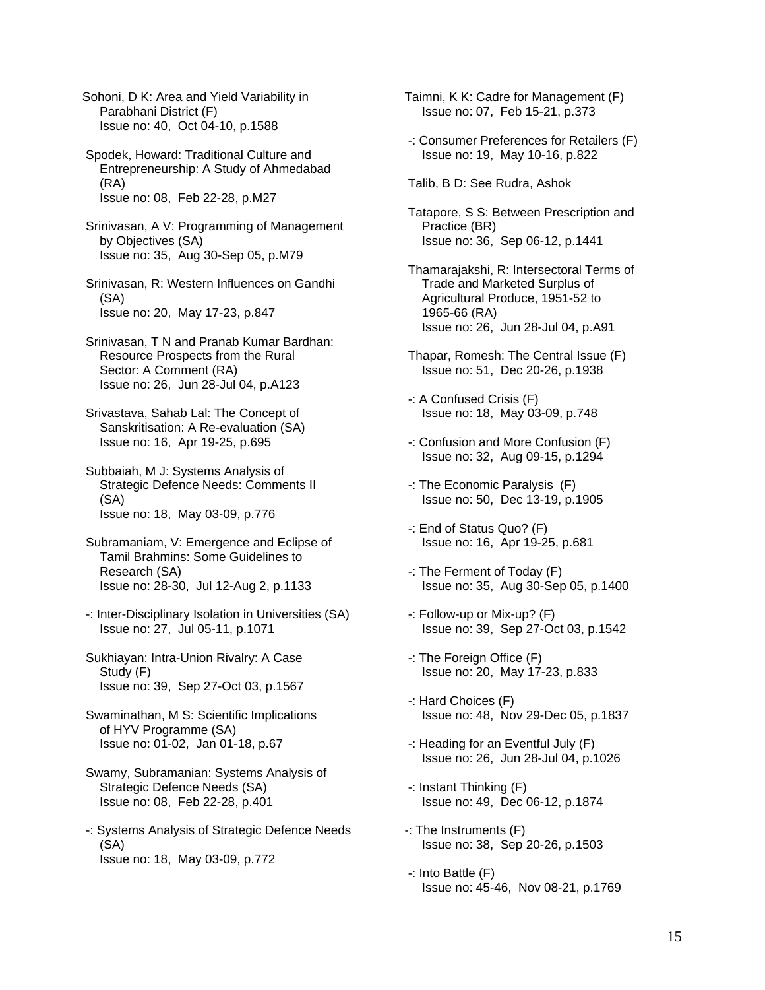Sohoni, D K: Area and Yield Variability in Parabhani District (F) Issue no: 40, Oct 04-10, p.1588

 Spodek, Howard: Traditional Culture and Entrepreneurship: A Study of Ahmedabad (RA) Issue no: 08, Feb 22-28, p.M27

 Srinivasan, A V: Programming of Management by Objectives (SA) Issue no: 35, Aug 30-Sep 05, p.M79

 Srinivasan, R: Western Influences on Gandhi (SA) Issue no: 20, May 17-23, p.847

 Srinivasan, T N and Pranab Kumar Bardhan: Resource Prospects from the Rural Sector: A Comment (RA) Issue no: 26, Jun 28-Jul 04, p.A123

 Srivastava, Sahab Lal: The Concept of Sanskritisation: A Re-evaluation (SA) Issue no: 16, Apr 19-25, p.695

 Subbaiah, M J: Systems Analysis of Strategic Defence Needs: Comments II (SA) Issue no: 18, May 03-09, p.776

- Subramaniam, V: Emergence and Eclipse of Tamil Brahmins: Some Guidelines to Research (SA) Issue no: 28-30, Jul 12-Aug 2, p.1133
- -: Inter-Disciplinary Isolation in Universities (SA) Issue no: 27, Jul 05-11, p.1071
- Sukhiayan: Intra-Union Rivalry: A Case Study (F) Issue no: 39, Sep 27-Oct 03, p.1567

 Swaminathan, M S: Scientific Implications of HYV Programme (SA) Issue no: 01-02, Jan 01-18, p.67

- Swamy, Subramanian: Systems Analysis of Strategic Defence Needs (SA) Issue no: 08, Feb 22-28, p.401
- -: Systems Analysis of Strategic Defence Needs (SA) Issue no: 18, May 03-09, p.772

Taimni, K K: Cadre for Management (F) Issue no: 07, Feb 15-21, p.373

 -: Consumer Preferences for Retailers (F) Issue no: 19, May 10-16, p.822

Talib, B D: See Rudra, Ashok

 Tatapore, S S: Between Prescription and Practice (BR) Issue no: 36, Sep 06-12, p.1441

 Thamarajakshi, R: Intersectoral Terms of Trade and Marketed Surplus of Agricultural Produce, 1951-52 to 1965-66 (RA) Issue no: 26, Jun 28-Jul 04, p.A91

- Thapar, Romesh: The Central Issue (F) Issue no: 51, Dec 20-26, p.1938
- -: A Confused Crisis (F) Issue no: 18, May 03-09, p.748
- -: Confusion and More Confusion (F) Issue no: 32, Aug 09-15, p.1294
- -: The Economic Paralysis (F) Issue no: 50, Dec 13-19, p.1905
- -: End of Status Quo? (F) Issue no: 16, Apr 19-25, p.681
- -: The Ferment of Today (F) Issue no: 35, Aug 30-Sep 05, p.1400
- -: Follow-up or Mix-up? (F) Issue no: 39, Sep 27-Oct 03, p.1542
- -: The Foreign Office (F) Issue no: 20, May 17-23, p.833
- -: Hard Choices (F) Issue no: 48, Nov 29-Dec 05, p.1837
- -: Heading for an Eventful July (F) Issue no: 26, Jun 28-Jul 04, p.1026
- -: Instant Thinking (F) Issue no: 49, Dec 06-12, p.1874
- -: The Instruments (F) Issue no: 38, Sep 20-26, p.1503
- -: Into Battle (F) Issue no: 45-46, Nov 08-21, p.1769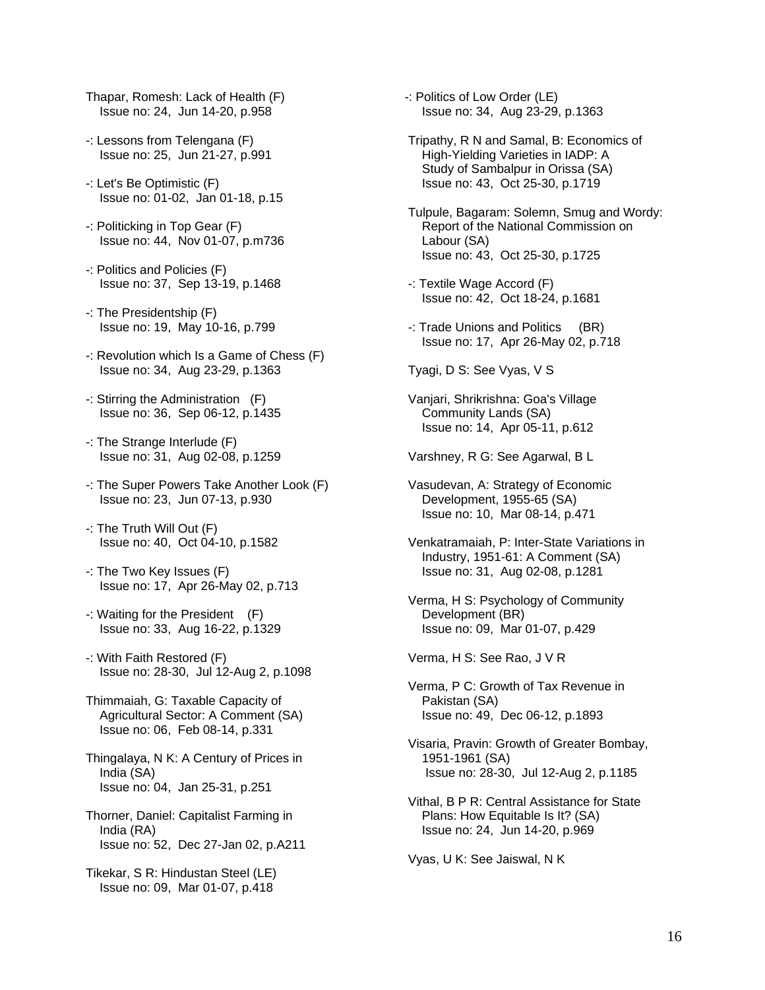- Thapar, Romesh: Lack of Health (F) Issue no: 24, Jun 14-20, p.958
- -: Lessons from Telengana (F) Issue no: 25, Jun 21-27, p.991
- -: Let's Be Optimistic (F) Issue no: 01-02, Jan 01-18, p.15
- -: Politicking in Top Gear (F) Issue no: 44, Nov 01-07, p.m736
- -: Politics and Policies (F) Issue no: 37, Sep 13-19, p.1468
- -: The Presidentship (F) Issue no: 19, May 10-16, p.799
- -: Revolution which Is a Game of Chess (F) Issue no: 34, Aug 23-29, p.1363
- -: Stirring the Administration (F) Issue no: 36, Sep 06-12, p.1435
- -: The Strange Interlude (F) Issue no: 31, Aug 02-08, p.1259
- -: The Super Powers Take Another Look (F) Issue no: 23, Jun 07-13, p.930
- -: The Truth Will Out (F) Issue no: 40, Oct 04-10, p.1582
- -: The Two Key Issues (F) Issue no: 17, Apr 26-May 02, p.713
- -: Waiting for the President (F) Issue no: 33, Aug 16-22, p.1329
- -: With Faith Restored (F) Issue no: 28-30, Jul 12-Aug 2, p.1098
- Thimmaiah, G: Taxable Capacity of Agricultural Sector: A Comment (SA) Issue no: 06, Feb 08-14, p.331
- Thingalaya, N K: A Century of Prices in India (SA) Issue no: 04, Jan 25-31, p.251
- Thorner, Daniel: Capitalist Farming in India (RA) Issue no: 52, Dec 27-Jan 02, p.A211
- Tikekar, S R: Hindustan Steel (LE) Issue no: 09, Mar 01-07, p.418
- -: Politics of Low Order (LE) Issue no: 34, Aug 23-29, p.1363
- Tripathy, R N and Samal, B: Economics of High-Yielding Varieties in IADP: A Study of Sambalpur in Orissa (SA) Issue no: 43, Oct 25-30, p.1719
- Tulpule, Bagaram: Solemn, Smug and Wordy: Report of the National Commission on Labour (SA) Issue no: 43, Oct 25-30, p.1725
- -: Textile Wage Accord (F) Issue no: 42, Oct 18-24, p.1681
- -: Trade Unions and Politics (BR) Issue no: 17, Apr 26-May 02, p.718
- Tyagi, D S: See Vyas, V S
- Vanjari, Shrikrishna: Goa's Village Community Lands (SA) Issue no: 14, Apr 05-11, p.612
- Varshney, R G: See Agarwal, B L
- Vasudevan, A: Strategy of Economic Development, 1955-65 (SA) Issue no: 10, Mar 08-14, p.471
- Venkatramaiah, P: Inter-State Variations in Industry, 1951-61: A Comment (SA) Issue no: 31, Aug 02-08, p.1281
- Verma, H S: Psychology of Community Development (BR) Issue no: 09, Mar 01-07, p.429

Verma, H S: See Rao, J V R

- Verma, P C: Growth of Tax Revenue in Pakistan (SA) Issue no: 49, Dec 06-12, p.1893
- Visaria, Pravin: Growth of Greater Bombay, 1951-1961 (SA) Issue no: 28-30, Jul 12-Aug 2, p.1185
- Vithal, B P R: Central Assistance for State Plans: How Equitable Is It? (SA) Issue no: 24, Jun 14-20, p.969

Vyas, U K: See Jaiswal, N K